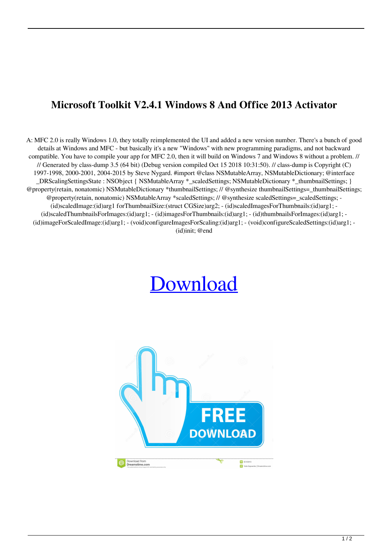## **Microsoft Toolkit V2.4.1 Windows 8 And Office 2013 Activator**

A: MFC 2.0 is really Windows 1.0, they totally reimplemented the UI and added a new version number. There's a bunch of good details at Windows and MFC - but basically it's a new "Windows" with new programming paradigms, and not backward compatible. You have to compile your app for MFC 2.0, then it will build on Windows 7 and Windows 8 without a problem. // // Generated by class-dump 3.5 (64 bit) (Debug version compiled Oct 15 2018 10:31:50). // class-dump is Copyright (C) 1997-1998, 2000-2001, 2004-2015 by Steve Nygard. #import @class NSMutableArray, NSMutableDictionary; @interface \_DRScalingSettingsState : NSObject { NSMutableArray \*\_scaledSettings; NSMutableDictionary \*\_thumbnailSettings; } @property(retain, nonatomic) NSMutableDictionary \*thumbnailSettings; // @synthesize thumbnailSettings=\_thumbnailSettings; @property(retain, nonatomic) NSMutableArray \*scaledSettings; // @synthesize scaledSettings=\_scaledSettings; - (id)scaledImage:(id)arg1 forThumbnailSize:(struct CGSize)arg2; - (id)scaledImagesForThumbnails:(id)arg1; - (id)scaledThumbnailsForImages:(id)arg1; - (id)imagesForThumbnails:(id)arg1; - (id)thumbnailsForImages:(id)arg1; - (id)imageForScaledImage:(id)arg1; - (void)configureImagesForScaling:(id)arg1; - (void)configureScaledSettings:(id)arg1; - (id)init; @end

## [Download](http://evacdir.com/ZG93bmxvYWR8d1c0TW14cU1ueDhNVFkxTWpRMk16QTFNSHg4TWpVM05IeDhLRTBwSUhKbFlXUXRZbXh2WnlCYlJtRnpkQ0JIUlU1ZA/fatherless/impactions/TWljcm9zb2Z0IFRvb2xraXQgdjIuNC4xIFdpbmRvd3MgOCBhbmQgT2ZmaWNlIDIwMTMgQWN0aXZhdG9yTWl.fris?lanta.loaner=retainers)